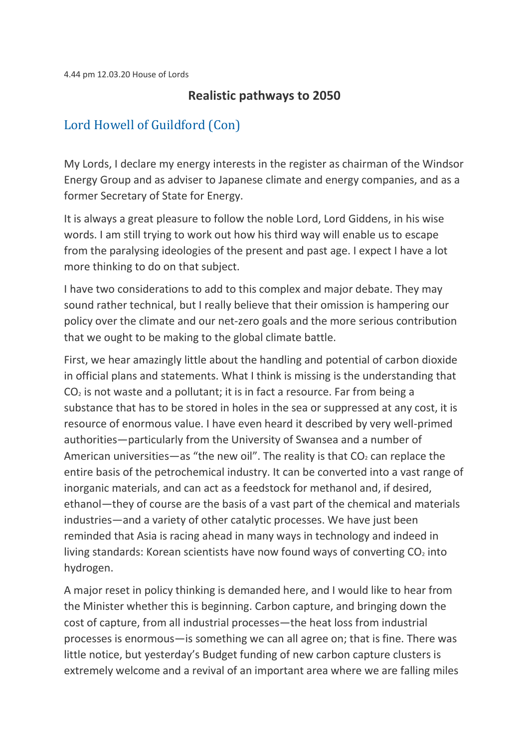## **Realistic pathways to 2050**

## [Lord Howell of Guildford \(Con\)](https://hansard.parliament.uk/search/MemberContributions?house=Lords&memberId=993)

My Lords, I declare my energy interests in the register as chairman of the Windsor Energy Group and as adviser to Japanese climate and energy companies, and as a former Secretary of State for Energy.

It is always a great pleasure to follow the noble Lord, Lord Giddens, in his wise words. I am still trying to work out how his third way will enable us to escape from the paralysing ideologies of the present and past age. I expect I have a lot more thinking to do on that subject.

I have two considerations to add to this complex and major debate. They may sound rather technical, but I really believe that their omission is hampering our policy over the climate and our net-zero goals and the more serious contribution that we ought to be making to the global climate battle.

First, we hear amazingly little about the handling and potential of carbon dioxide in official plans and statements. What I think is missing is the understanding that  $CO<sub>2</sub>$  is not waste and a pollutant; it is in fact a resource. Far from being a substance that has to be stored in holes in the sea or suppressed at any cost, it is resource of enormous value. I have even heard it described by very well-primed authorities—particularly from the University of Swansea and a number of American universities—as "the new oil". The reality is that  $CO<sub>2</sub>$  can replace the entire basis of the petrochemical industry. It can be converted into a vast range of inorganic materials, and can act as a feedstock for methanol and, if desired, ethanol—they of course are the basis of a vast part of the chemical and materials industries—and a variety of other catalytic processes. We have just been reminded that Asia is racing ahead in many ways in technology and indeed in living standards: Korean scientists have now found ways of converting  $CO<sub>2</sub>$  into hydrogen.

A major reset in policy thinking is demanded here, and I would like to hear from the Minister whether this is beginning. Carbon capture, and bringing down the cost of capture, from all industrial processes—the heat loss from industrial processes is enormous—is something we can all agree on; that is fine. There was little notice, but yesterday's Budget funding of new carbon capture clusters is extremely welcome and a revival of an important area where we are falling miles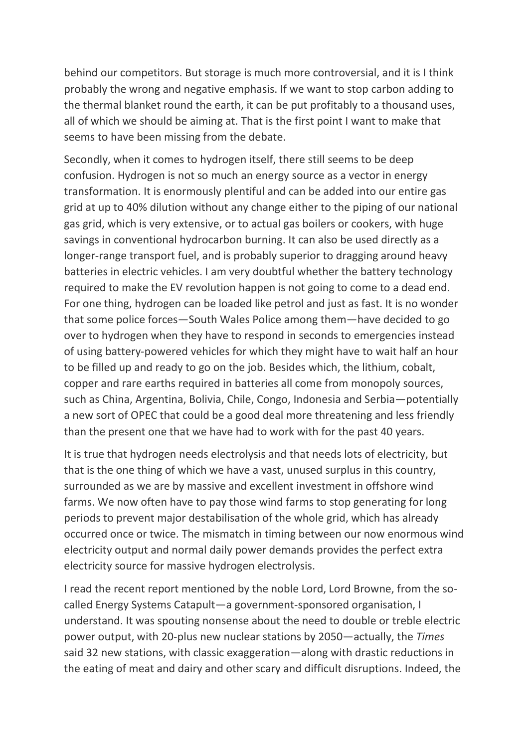behind our competitors. But storage is much more controversial, and it is I think probably the wrong and negative emphasis. If we want to stop carbon adding to the thermal blanket round the earth, it can be put profitably to a thousand uses, all of which we should be aiming at. That is the first point I want to make that seems to have been missing from the debate.

Secondly, when it comes to hydrogen itself, there still seems to be deep confusion. Hydrogen is not so much an energy source as a vector in energy transformation. It is enormously plentiful and can be added into our entire gas grid at up to 40% dilution without any change either to the piping of our national gas grid, which is very extensive, or to actual gas boilers or cookers, with huge savings in conventional hydrocarbon burning. It can also be used directly as a longer-range transport fuel, and is probably superior to dragging around heavy batteries in electric vehicles. I am very doubtful whether the battery technology required to make the EV revolution happen is not going to come to a dead end. For one thing, hydrogen can be loaded like petrol and just as fast. It is no wonder that some police forces—South Wales Police among them—have decided to go over to hydrogen when they have to respond in seconds to emergencies instead of using battery-powered vehicles for which they might have to wait half an hour to be filled up and ready to go on the job. Besides which, the lithium, cobalt, copper and rare earths required in batteries all come from monopoly sources, such as China, Argentina, Bolivia, Chile, Congo, Indonesia and Serbia—potentially a new sort of OPEC that could be a good deal more threatening and less friendly than the present one that we have had to work with for the past 40 years.

It is true that hydrogen needs electrolysis and that needs lots of electricity, but that is the one thing of which we have a vast, unused surplus in this country, surrounded as we are by massive and excellent investment in offshore wind farms. We now often have to pay those wind farms to stop generating for long periods to prevent major destabilisation of the whole grid, which has already occurred once or twice. The mismatch in timing between our now enormous wind electricity output and normal daily power demands provides the perfect extra electricity source for massive hydrogen electrolysis.

I read the recent report mentioned by the noble Lord, Lord Browne, from the socalled Energy Systems Catapult—a government-sponsored organisation, I understand. It was spouting nonsense about the need to double or treble electric power output, with 20-plus new nuclear stations by 2050—actually, the *Times* said 32 new stations, with classic exaggeration—along with drastic reductions in the eating of meat and dairy and other scary and difficult disruptions. Indeed, the